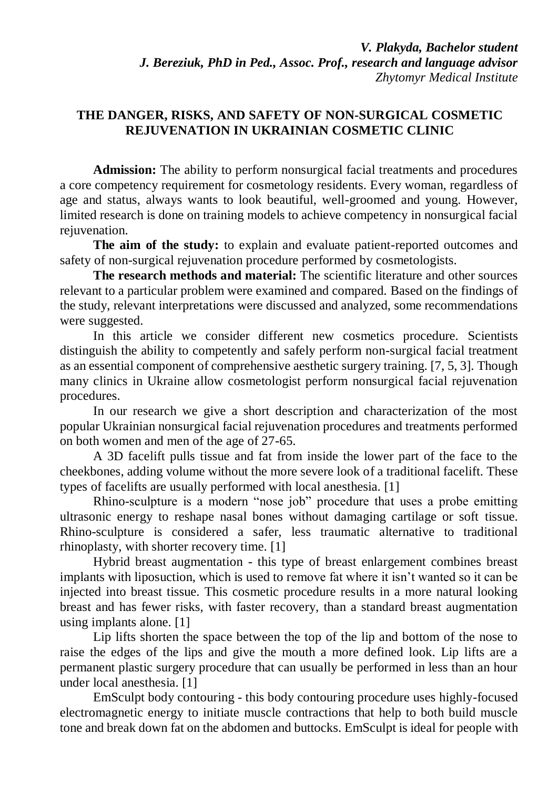## **THE DANGER, RISKS, AND SAFETY OF NON-SURGICAL COSMETIC REJUVENATION IN UKRAINIAN COSMETIC CLINIC**

**Admission:** The ability to perform nonsurgical facial treatments and procedures a core competency requirement for cosmetology residents. Every woman, regardless of age and status, always wants to look beautiful, well-groomed and young. However, limited research is done on training models to achieve competency in nonsurgical facial rejuvenation.

**The aim of the study:** to explain and evaluate patient-reported outcomes and safety of non-surgical rejuvenation procedure performed by cosmetologists.

**The research methods and material:** The scientific literature and other sources relevant to a particular problem were examined and compared. Based on the findings of the study, relevant interpretations were discussed and analyzed, some recommendations were suggested.

In this article we consider different new cosmetics procedure. Scientists distinguish the ability to competently and safely perform non-surgical facial treatment as an essential component of comprehensive aesthetic surgery training. [7, 5, 3]. Though many clinics in Ukraine allow cosmetologist perform nonsurgical facial rejuvenation procedures.

In our research we give a short description and characterization of the most popular Ukrainian nonsurgical facial rejuvenation procedures and treatments performed on both women and men of the age of 27-65.

A 3D facelift pulls tissue and fat from inside the lower part of the face to the cheekbones, adding volume without the more severe look of a traditional facelift. These types of facelifts are usually performed with local anesthesia. [1]

Rhino-sculpture is a modern "nose job" procedure that uses a probe emitting ultrasonic energy to reshape nasal bones without damaging cartilage or soft tissue. Rhino-sculpture is considered a safer, less traumatic alternative to traditional rhinoplasty, with shorter recovery time. [1]

Hybrid breast augmentation - this type of breast enlargement combines breast implants with liposuction, which is used to remove fat where it isn't wanted so it can be injected into breast tissue. This cosmetic procedure results in a more natural looking breast and has fewer risks, with faster recovery, than a standard breast augmentation using implants alone. [1]

Lip lifts shorten the space between the top of the lip and bottom of the nose to raise the edges of the lips and give the mouth a more defined look. Lip lifts are a permanent plastic surgery procedure that can usually be performed in less than an hour under local anesthesia. [1]

EmSculpt body contouring - this body contouring procedure uses highly-focused electromagnetic energy to initiate muscle contractions that help to both build muscle tone and break down fat on the abdomen and buttocks. EmSculpt is ideal for people with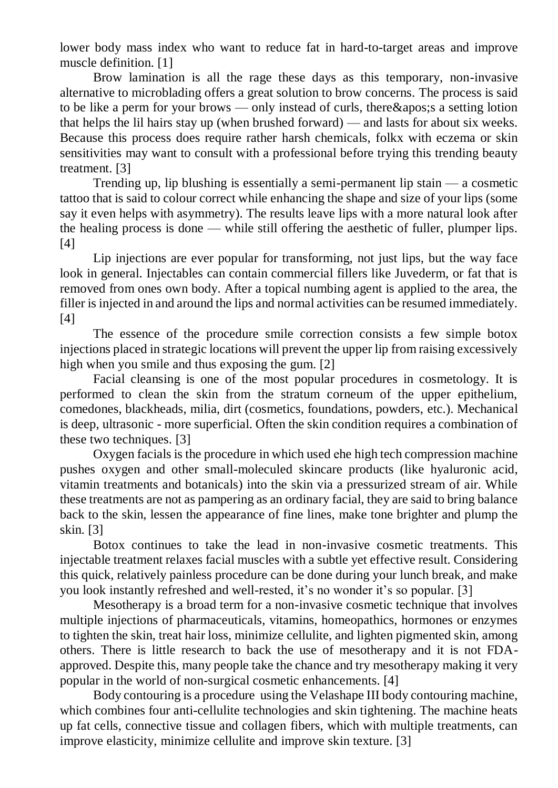lower body mass index who want to reduce fat in hard-to-target areas and improve muscle definition. [1]

Brow lamination is all the rage these days as this temporary, non-invasive alternative to microblading offers a great solution to brow concerns. The process is said to be like a perm for your brows — only instead of curls, there  $\&$  apos; a setting lotion that helps the lil hairs stay up (when brushed forward) — and lasts for about six weeks. Because this process does require rather harsh chemicals, folkx with eczema or skin sensitivities may want to consult with a professional before trying this trending beauty treatment. [3]

Trending up, lip blushing is essentially a semi-permanent lip stain — a cosmetic tattoo that is said to colour correct while enhancing the shape and size of your lips (some say it even helps with asymmetry). The results leave lips with a more natural look after the healing process is done — while still offering the aesthetic of fuller, plumper lips. [4]

Lip injections are ever popular for transforming, not just lips, but the way face look in general. Injectables can contain commercial fillers like Juvederm, or fat that is removed from ones own body. After a topical numbing agent is applied to the area, the filler is injected in and around the lips and normal activities can be resumed immediately. [4]

The essence of the procedure smile correction consists a few simple botox injections placed in strategic locations will prevent the upper lip from raising excessively high when you smile and thus exposing the gum. [2]

Facial cleansing is one of the most popular procedures in cosmetology. It is performed to clean the skin from the stratum corneum of the upper epithelium, comedones, blackheads, milia, dirt (cosmetics, foundations, powders, etc.). Mechanical is deep, ultrasonic - more superficial. Often the skin condition requires a combination of these two techniques. [3]

Oxygen facials is the procedure in which used еhe high tech compression machine pushes oxygen and other small-moleculed skincare products (like hyaluronic acid, vitamin treatments and botanicals) into the skin via a pressurized stream of air. While these treatments are not as pampering as an ordinary facial, they are said to bring balance back to the skin, lessen the appearance of fine lines, make tone brighter and plump the skin. [3]

Botox continues to take the lead in non-invasive cosmetic treatments. This injectable treatment relaxes facial muscles with a subtle yet effective result. Considering this quick, relatively painless procedure can be done during your lunch break, and make you look instantly refreshed and well-rested, it's no wonder it's so popular. [3]

Mesotherapy is a broad term for a non-invasive cosmetic technique that involves multiple injections of pharmaceuticals, vitamins, homeopathics, hormones or enzymes to tighten the skin, treat hair loss, minimize cellulite, and lighten pigmented skin, among others. There is little research to back the use of mesotherapy and it is not FDAapproved. Despite this, many people take the chance and try mesotherapy making it very popular in the world of non-surgical cosmetic enhancements. [4]

Body contouring is a procedure using the Velashape III body contouring machine, which combines four anti-cellulite technologies and skin tightening. The machine heats up fat cells, connective tissue and collagen fibers, which with multiple treatments, can improve elasticity, minimize cellulite and improve skin texture. [3]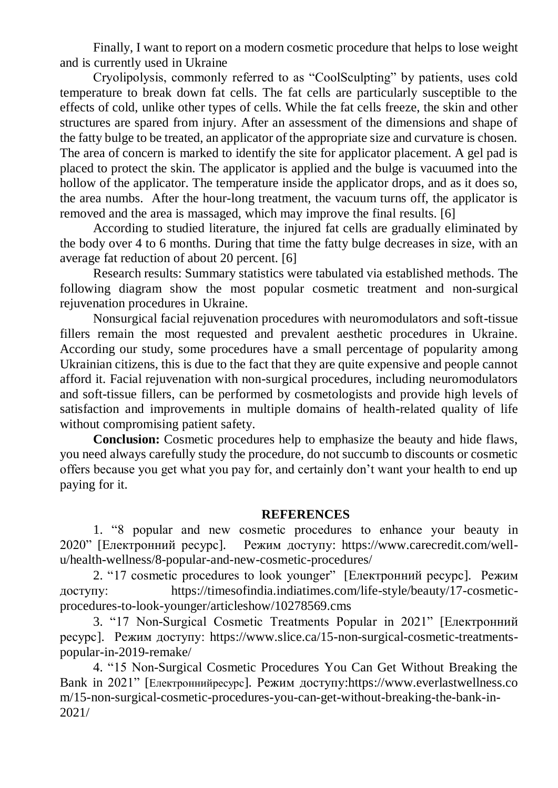Finally, I want to report on a modern cosmetic procedure that helps to lose weight and is currently used in Ukraine

Cryolipolysis, commonly referred to as "CoolSculpting" by patients, uses cold temperature to break down fat cells. The fat cells are particularly susceptible to the effects of cold, unlike other types of cells. While the fat cells freeze, the skin and other structures are spared from injury. After an assessment of the dimensions and shape of the fatty bulge to be treated, an applicator of the appropriate size and curvature is chosen. The area of concern is marked to identify the site for applicator placement. A gel pad is placed to protect the skin. The applicator is applied and the bulge is vacuumed into the hollow of the applicator. The temperature inside the applicator drops, and as it does so, the area numbs. After the hour-long treatment, the vacuum turns off, the applicator is removed and the area is massaged, which may improve the final results. [6]

According to studied literature, the injured fat cells are gradually eliminated by the body over 4 to 6 months. During that time the fatty bulge decreases in size, with an average fat reduction of about 20 percent. [6]

Research results: Summary statistics were tabulated via established methods. The following diagram show the most popular cosmetic treatment and non-surgical rejuvenation procedures in Ukraine.

Nonsurgical facial rejuvenation procedures with neuromodulators and soft-tissue fillers remain the most requested and prevalent aesthetic procedures in Ukraine. According our study, some procedures have a small percentage of popularity among Ukrainian citizens, this is due to the fact that they are quite expensive and people cannot afford it. Facial rejuvenation with non-surgical procedures, including neuromodulators and soft-tissue fillers, can be performed by cosmetologists and provide high levels of satisfaction and improvements in multiple domains of health-related quality of life without compromising patient safety.

**Conclusion:** Cosmetic procedures help to emphasize the beauty and hide flaws, you need always carefully study the procedure, do not succumb to discounts or cosmetic offers because you get what you pay for, and certainly don't want your health to end up paying for it.

## **REFERENCES**

1. "8 popular and new cosmetic procedures to enhance your beauty in 2020" [Електронний ресурс]. Режим доступу: [https://www.carecredit.com/well](https://www.carecredit.com/well-u/health-wellness/8-popular-and-new-cosmetic-procedures/)[u/health-wellness/8-popular-and-new-cosmetic-procedures/](https://www.carecredit.com/well-u/health-wellness/8-popular-and-new-cosmetic-procedures/)

2. "17 cosmetic procedures to look younger" [Електронний ресурс]. Режим доступу: [https://timesofindia.indiatimes.com/life-style/beauty/17-cosmetic](https://timesofindia.indiatimes.com/life-style/beauty/17-cosmetic-procedures-to-look-younger/articleshow/10278569.cms)[procedures-to-look-younger/articleshow/10278569.cms](https://timesofindia.indiatimes.com/life-style/beauty/17-cosmetic-procedures-to-look-younger/articleshow/10278569.cms)

3. "17 Non-Surgical Cosmetic Treatments Popular in 2021" [Електронний ресурс]. Режим доступу: [https://www.slice.ca/15-non-surgical-cosmetic-treatments](https://www.slice.ca/15-non-surgical-cosmetic-treatments-popular-in-2019-remake/)[popular-in-2019-remake/](https://www.slice.ca/15-non-surgical-cosmetic-treatments-popular-in-2019-remake/)

4. "15 Non-Surgical Cosmetic Procedures You Can Get Without Breaking the Bank in 2021" [Електроннийресурс]. Режим доступу[:https://www.everlastwellness.co](https://www.everlastwellness.com/15-non-surgical-cosmetic-procedures-you-can-get-without-breaking-the-bank-in-2021/) [m/15-non-surgical-cosmetic-procedures-you-can-get-without-breaking-the-bank-in-](https://www.everlastwellness.com/15-non-surgical-cosmetic-procedures-you-can-get-without-breaking-the-bank-in-2021/)[2021/](https://www.everlastwellness.com/15-non-surgical-cosmetic-procedures-you-can-get-without-breaking-the-bank-in-2021/)